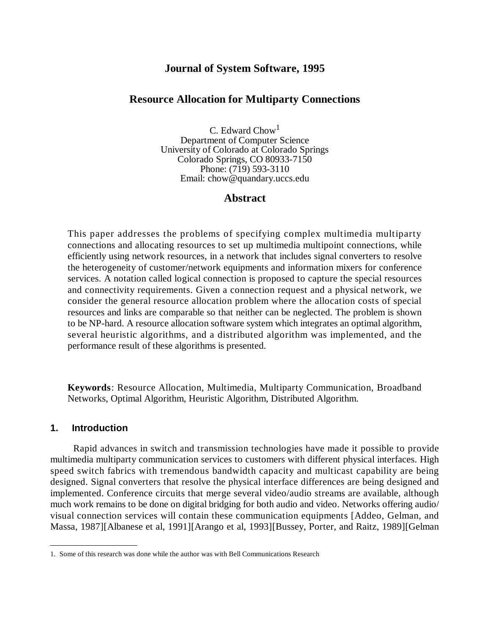### **Journal of System Software, 1995**

#### **Resource Allocation for Multiparty Connections**

C. Edward Chow<sup>1</sup> Department of Computer Science University of Colorado at Colorado Springs Colorado Springs, CO 80933-7150 Phone: (719) 593-3110 Email: chow@quandary.uccs.edu

### **Abstract**

This paper addresses the problems of specifying complex multimedia multiparty connections and allocating resources to set up multimedia multipoint connections, while efficiently using network resources, in a network that includes signal converters to resolve the heterogeneity of customer/network equipments and information mixers for conference services. A notation called logical connection is proposed to capture the special resources and connectivity requirements. Given a connection request and a physical network, we consider the general resource allocation problem where the allocation costs of special resources and links are comparable so that neither can be neglected. The problem is shown to be NP-hard. A resource allocation software system which integrates an optimal algorithm, several heuristic algorithms, and a distributed algorithm was implemented, and the performance result of these algorithms is presented.

**Keywords**: Resource Allocation, Multimedia, Multiparty Communication, Broadband Networks, Optimal Algorithm, Heuristic Algorithm, Distributed Algorithm.

#### **1. Introduction**

Rapid advances in switch and transmission technologies have made it possible to provide multimedia multiparty communication services to customers with different physical interfaces. High speed switch fabrics with tremendous bandwidth capacity and multicast capability are being designed. Signal converters that resolve the physical interface differences are being designed and implemented. Conference circuits that merge several video/audio streams are available, although much work remains to be done on digital bridging for both audio and video. Networks offering audio/ visual connection services will contain these communication equipments [Addeo, Gelman, and Massa, 1987][Albanese et al, 1991][Arango et al, 1993][Bussey, Porter, and Raitz, 1989][Gelman

<sup>1.</sup> Some of this research was done while the author was with Bell Communications Research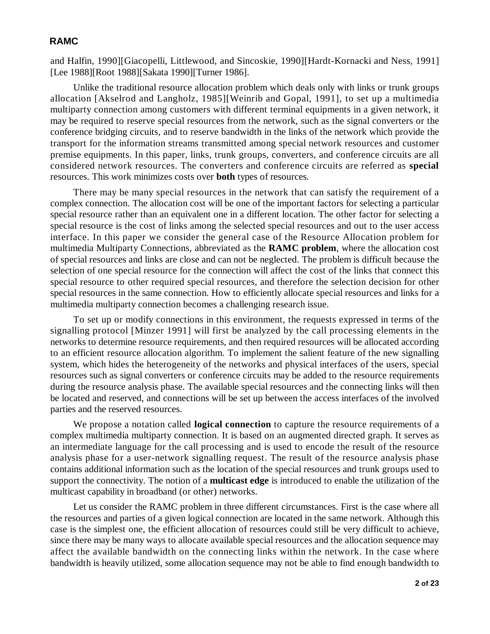and Halfin, 1990][Giacopelli, Littlewood, and Sincoskie, 1990][Hardt-Kornacki and Ness, 1991] [Lee 1988][Root 1988][Sakata 1990][Turner 1986].

Unlike the traditional resource allocation problem which deals only with links or trunk groups allocation [Akselrod and Langholz, 1985][Weinrib and Gopal, 1991], to set up a multimedia multiparty connection among customers with different terminal equipments in a given network, it may be required to reserve special resources from the network, such as the signal converters or the conference bridging circuits, and to reserve bandwidth in the links of the network which provide the transport for the information streams transmitted among special network resources and customer premise equipments. In this paper, links, trunk groups, converters, and conference circuits are all considered network resources. The converters and conference circuits are referred as **special** resources. This work minimizes costs over **both** types of resources.

There may be many special resources in the network that can satisfy the requirement of a complex connection. The allocation cost will be one of the important factors for selecting a particular special resource rather than an equivalent one in a different location. The other factor for selecting a special resource is the cost of links among the selected special resources and out to the user access interface. In this paper we consider the general case of the Resource Allocation problem for multimedia Multiparty Connections, abbreviated as the **RAMC problem**, where the allocation cost of special resources and links are close and can not be neglected. The problem is difficult because the selection of one special resource for the connection will affect the cost of the links that connect this special resource to other required special resources, and therefore the selection decision for other special resources in the same connection. How to efficiently allocate special resources and links for a multimedia multiparty connection becomes a challenging research issue.

To set up or modify connections in this environment, the requests expressed in terms of the signalling protocol [Minzer 1991] will first be analyzed by the call processing elements in the networks to determine resource requirements, and then required resources will be allocated according to an efficient resource allocation algorithm. To implement the salient feature of the new signalling system, which hides the heterogeneity of the networks and physical interfaces of the users, special resources such as signal converters or conference circuits may be added to the resource requirements during the resource analysis phase. The available special resources and the connecting links will then be located and reserved, and connections will be set up between the access interfaces of the involved parties and the reserved resources.

We propose a notation called **logical connection** to capture the resource requirements of a complex multimedia multiparty connection. It is based on an augmented directed graph. It serves as an intermediate language for the call processing and is used to encode the result of the resource analysis phase for a user-network signalling request. The result of the resource analysis phase contains additional information such as the location of the special resources and trunk groups used to support the connectivity. The notion of a **multicast edge** is introduced to enable the utilization of the multicast capability in broadband (or other) networks.

Let us consider the RAMC problem in three different circumstances. First is the case where all the resources and parties of a given logical connection are located in the same network. Although this case is the simplest one, the efficient allocation of resources could still be very difficult to achieve, since there may be many ways to allocate available special resources and the allocation sequence may affect the available bandwidth on the connecting links within the network. In the case where bandwidth is heavily utilized, some allocation sequence may not be able to find enough bandwidth to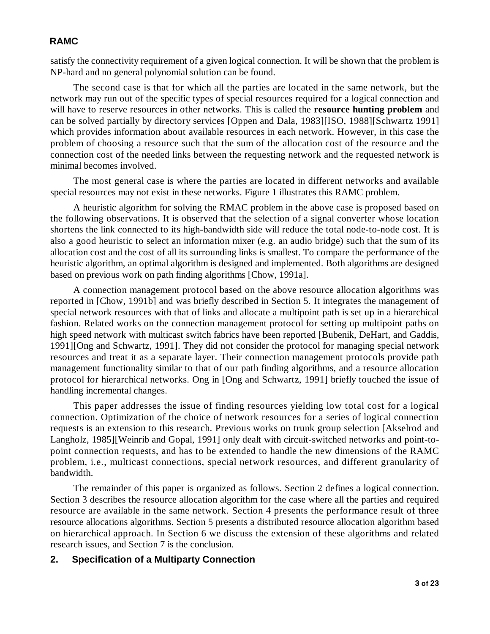satisfy the connectivity requirement of a given logical connection. It will be shown that the problem is NP-hard and no general polynomial solution can be found.

The second case is that for which all the parties are located in the same network, but the network may run out of the specific types of special resources required for a logical connection and will have to reserve resources in other networks. This is called the **resource hunting problem** and can be solved partially by directory services [Oppen and Dala, 1983][ISO, 1988][Schwartz 1991] which provides information about available resources in each network. However, in this case the problem of choosing a resource such that the sum of the allocation cost of the resource and the connection cost of the needed links between the requesting network and the requested network is minimal becomes involved.

The most general case is where the parties are located in different networks and available special resources may not exist in these networks. Figure 1 illustrates this RAMC problem.

A heuristic algorithm for solving the RMAC problem in the above case is proposed based on the following observations. It is observed that the selection of a signal converter whose location shortens the link connected to its high-bandwidth side will reduce the total node-to-node cost. It is also a good heuristic to select an information mixer (e.g. an audio bridge) such that the sum of its allocation cost and the cost of all its surrounding links is smallest. To compare the performance of the heuristic algorithm, an optimal algorithm is designed and implemented. Both algorithms are designed based on previous work on path finding algorithms [Chow, 1991a].

A connection management protocol based on the above resource allocation algorithms was reported in [Chow, 1991b] and was briefly described in Section 5. It integrates the management of special network resources with that of links and allocate a multipoint path is set up in a hierarchical fashion. Related works on the connection management protocol for setting up multipoint paths on high speed network with multicast switch fabrics have been reported [Bubenik, DeHart, and Gaddis, 1991][Ong and Schwartz, 1991]. They did not consider the protocol for managing special network resources and treat it as a separate layer. Their connection management protocols provide path management functionality similar to that of our path finding algorithms, and a resource allocation protocol for hierarchical networks. Ong in [Ong and Schwartz, 1991] briefly touched the issue of handling incremental changes.

This paper addresses the issue of finding resources yielding low total cost for a logical connection. Optimization of the choice of network resources for a series of logical connection requests is an extension to this research. Previous works on trunk group selection [Akselrod and Langholz, 1985][Weinrib and Gopal, 1991] only dealt with circuit-switched networks and point-topoint connection requests, and has to be extended to handle the new dimensions of the RAMC problem, i.e., multicast connections, special network resources, and different granularity of bandwidth.

The remainder of this paper is organized as follows. Section 2 defines a logical connection. Section 3 describes the resource allocation algorithm for the case where all the parties and required resource are available in the same network. Section 4 presents the performance result of three resource allocations algorithms. Section 5 presents a distributed resource allocation algorithm based on hierarchical approach. In Section 6 we discuss the extension of these algorithms and related research issues, and Section 7 is the conclusion.

### **2. Specification of a Multiparty Connection**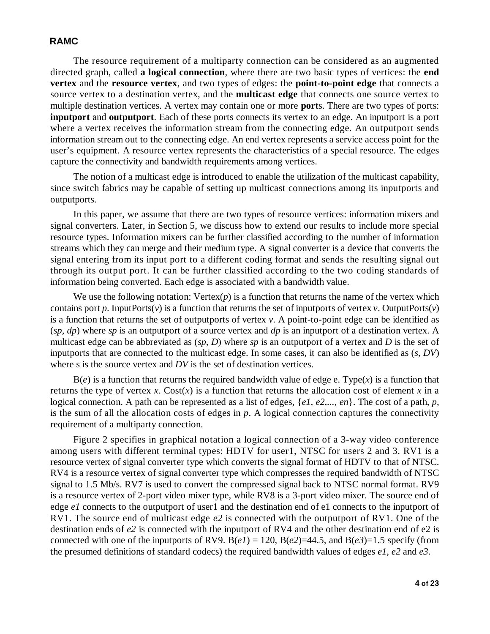The resource requirement of a multiparty connection can be considered as an augmented directed graph, called **a logical connection**, where there are two basic types of vertices: the **end vertex** and the **resource vertex**, and two types of edges: the **point-to-point edge** that connects a source vertex to a destination vertex, and the **multicast edge** that connects one source vertex to multiple destination vertices. A vertex may contain one or more **port**s. There are two types of ports: **inputport** and **outputport**. Each of these ports connects its vertex to an edge. An inputport is a port where a vertex receives the information stream from the connecting edge. An outputport sends information stream out to the connecting edge. An end vertex represents a service access point for the user's equipment. A resource vertex represents the characteristics of a special resource. The edges capture the connectivity and bandwidth requirements among vertices.

The notion of a multicast edge is introduced to enable the utilization of the multicast capability, since switch fabrics may be capable of setting up multicast connections among its inputports and outputports.

In this paper, we assume that there are two types of resource vertices: information mixers and signal converters. Later, in Section 5, we discuss how to extend our results to include more special resource types. Information mixers can be further classified according to the number of information streams which they can merge and their medium type. A signal converter is a device that converts the signal entering from its input port to a different coding format and sends the resulting signal out through its output port. It can be further classified according to the two coding standards of information being converted. Each edge is associated with a bandwidth value.

We use the following notation:  $Vertex(p)$  is a function that returns the name of the vertex which contains port *p*. InputPorts(*v*) is a function that returns the set of inputports of vertex *v*. OutputPorts(*v*) is a function that returns the set of outputports of vertex *v*. A point-to-point edge can be identified as (*sp, dp*) where *sp* is an outputport of a source vertex and *dp* is an inputport of a destination vertex. A multicast edge can be abbreviated as (*sp, D*) where *sp* is an outputport of a vertex and *D* is the set of inputports that are connected to the multicast edge. In some cases, it can also be identified as (*s, DV*) where s is the source vertex and *DV* is the set of destination vertices.

 $B(e)$  is a function that returns the required bandwidth value of edge e. Type $(x)$  is a function that returns the type of vertex *x*. Cost(*x*) is a function that returns the allocation cost of element *x* in a logical connection. A path can be represented as a list of edges, {*e1, e2,..., en*}. The cost of a path, *p*, is the sum of all the allocation costs of edges in *p*. A logical connection captures the connectivity requirement of a multiparty connection.

Figure 2 specifies in graphical notation a logical connection of a 3-way video conference among users with different terminal types: HDTV for user1, NTSC for users 2 and 3. RV1 is a resource vertex of signal converter type which converts the signal format of HDTV to that of NTSC. RV4 is a resource vertex of signal converter type which compresses the required bandwidth of NTSC signal to 1.5 Mb/s. RV7 is used to convert the compressed signal back to NTSC normal format. RV9 is a resource vertex of 2-port video mixer type, while RV8 is a 3-port video mixer. The source end of edge *e1* connects to the outputport of user1 and the destination end of e1 connects to the inputport of RV1. The source end of multicast edge *e2* is connected with the outputport of RV1. One of the destination ends of *e2* is connected with the inputport of RV4 and the other destination end of e2 is connected with one of the inputports of RV9.  $B(eI) = 120$ ,  $B(e2)=44.5$ , and  $B(e3)=1.5$  specify (from the presumed definitions of standard codecs) the required bandwidth values of edges *e1*, *e2* and *e3*.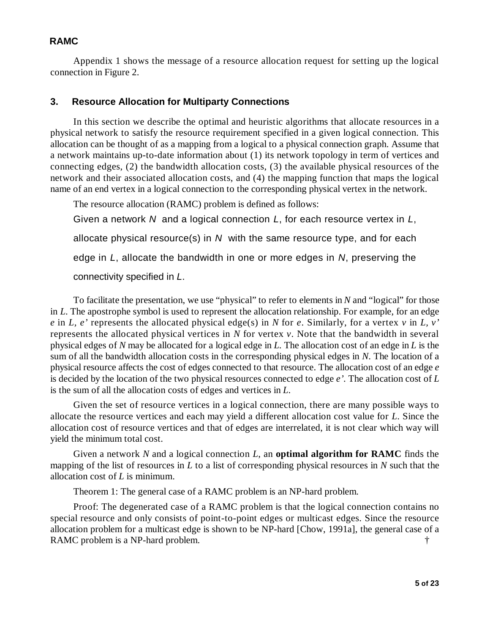Appendix 1 shows the message of a resource allocation request for setting up the logical connection in Figure 2.

### **3. Resource Allocation for Multiparty Connections**

In this section we describe the optimal and heuristic algorithms that allocate resources in a physical network to satisfy the resource requirement specified in a given logical connection. This allocation can be thought of as a mapping from a logical to a physical connection graph. Assume that a network maintains up-to-date information about (1) its network topology in term of vertices and connecting edges, (2) the bandwidth allocation costs, (3) the available physical resources of the network and their associated allocation costs, and (4) the mapping function that maps the logical name of an end vertex in a logical connection to the corresponding physical vertex in the network.

The resource allocation (RAMC) problem is defined as follows: Given a network *N* and a logical connection *L*, for each resource vertex in *L*, allocate physical resource(s) in *N* with the same resource type, and for each edge in *L*, allocate the bandwidth in one or more edges in *N*, preserving the connectivity specified in *L*.

To facilitate the presentation, we use "physical" to refer to elements in *N* and "logical" for those in *L*. The apostrophe symbol is used to represent the allocation relationship. For example, for an edge *e* in *L, e'* represents the allocated physical edge(s) in *N* for *e*. Similarly, for a vertex *v* in *L, v'* represents the allocated physical vertices in *N* for vertex *v*. Note that the bandwidth in several physical edges of *N* may be allocated for a logical edge in *L*. The allocation cost of an edge in *L* is the sum of all the bandwidth allocation costs in the corresponding physical edges in *N*. The location of a physical resource affects the cost of edges connected to that resource. The allocation cost of an edge *e* is decided by the location of the two physical resources connected to edge *e'*. The allocation cost of *L* is the sum of all the allocation costs of edges and vertices in *L*.

Given the set of resource vertices in a logical connection, there are many possible ways to allocate the resource vertices and each may yield a different allocation cost value for *L*. Since the allocation cost of resource vertices and that of edges are interrelated, it is not clear which way will yield the minimum total cost.

Given a network *N* and a logical connection *L*, an **optimal algorithm for RAMC** finds the mapping of the list of resources in *L* to a list of corresponding physical resources in *N* such that the allocation cost of *L* is minimum.

Theorem 1: The general case of a RAMC problem is an NP-hard problem.

Proof: The degenerated case of a RAMC problem is that the logical connection contains no special resource and only consists of point-to-point edges or multicast edges. Since the resource allocation problem for a multicast edge is shown to be NP-hard [Chow, 1991a], the general case of a RAMC problem is a NP-hard problem.  $\ddot{\tau}$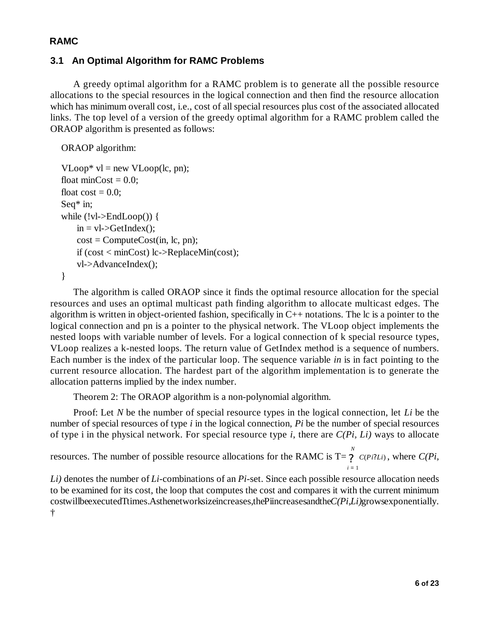# **3.1 An Optimal Algorithm for RAMC Problems**

A greedy optimal algorithm for a RAMC problem is to generate all the possible resource allocations to the special resources in the logical connection and then find the resource allocation which has minimum overall cost, i.e., cost of all special resources plus cost of the associated allocated links. The top level of a version of the greedy optimal algorithm for a RAMC problem called the ORAOP algorithm is presented as follows:

ORAOP algorithm:

```
VLoop* vl = new VLoop(lc, pn);float minCost = 0.0;
float \text{cost} = 0.0;
Seq* in;
while (!v]->EndLoop()) {
    in = vl-\geqGetIndex();
    cost = ComputeCost(in, lc, pn);if (cost < minCost) lc->ReplaceMin(cost);
    vl->AdvanceIndex();
}
```
The algorithm is called ORAOP since it finds the optimal resource allocation for the special resources and uses an optimal multicast path finding algorithm to allocate multicast edges. The algorithm is written in object-oriented fashion, specifically in C++ notations. The lc is a pointer to the logical connection and pn is a pointer to the physical network. The VLoop object implements the nested loops with variable number of levels. For a logical connection of k special resource types, VLoop realizes a k-nested loops. The return value of GetIndex method is a sequence of numbers. Each number is the index of the particular loop. The sequence variable *in* is in fact pointing to the current resource allocation. The hardest part of the algorithm implementation is to generate the allocation patterns implied by the index number.

Theorem 2: The ORAOP algorithm is a non-polynomial algorithm.

Proof: Let *N* be the number of special resource types in the logical connection, let *Li* be the number of special resources of type *i* in the logical connection, *Pi* be the number of special resources of type i in the physical network. For special resource type *i*, there are *C(Pi, Li)* ways to allocate

resources. The number of possible resource allocations for the RAMC is  $T = \gamma$   $C(P_i; L_i)$ , where  $C(P_i; L_i)$ *i* = 1 *N* ?

*Li)* denotes the number of *Li*-combinations of an *Pi*-set. Since each possible resource allocation needs to be examined for its cost, the loop that computes the cost and compares it with the current minimum cost will be executed T times. As the networks ize increases, the Pi increases and the *C(Pi, Li)*grows exponentially. †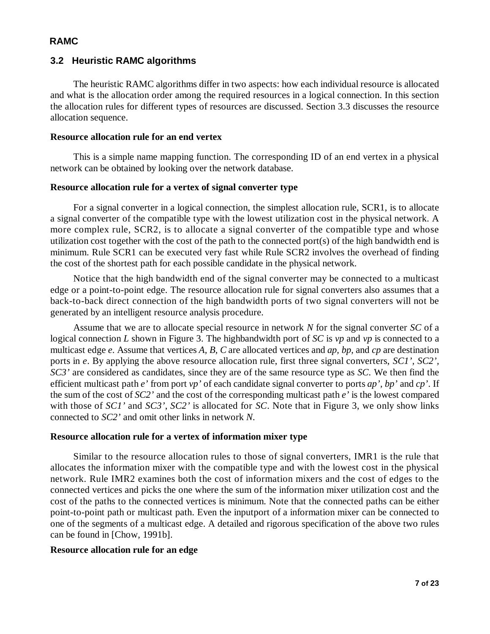### **3.2 Heuristic RAMC algorithms**

The heuristic RAMC algorithms differ in two aspects: how each individual resource is allocated and what is the allocation order among the required resources in a logical connection. In this section the allocation rules for different types of resources are discussed. Section 3.3 discusses the resource allocation sequence.

#### **Resource allocation rule for an end vertex**

This is a simple name mapping function. The corresponding ID of an end vertex in a physical network can be obtained by looking over the network database.

#### **Resource allocation rule for a vertex of signal converter type**

For a signal converter in a logical connection, the simplest allocation rule, SCR1, is to allocate a signal converter of the compatible type with the lowest utilization cost in the physical network. A more complex rule, SCR2, is to allocate a signal converter of the compatible type and whose utilization cost together with the cost of the path to the connected port(s) of the high bandwidth end is minimum. Rule SCR1 can be executed very fast while Rule SCR2 involves the overhead of finding the cost of the shortest path for each possible candidate in the physical network.

Notice that the high bandwidth end of the signal converter may be connected to a multicast edge or a point-to-point edge. The resource allocation rule for signal converters also assumes that a back-to-back direct connection of the high bandwidth ports of two signal converters will not be generated by an intelligent resource analysis procedure.

Assume that we are to allocate special resource in network *N* for the signal converter *SC* of a logical connection *L* shown in Figure 3. The highbandwidth port of *SC* is *vp* and *vp* is connected to a multicast edge *e*. Assume that vertices *A, B, C* are allocated vertices and *ap, bp,* and *cp* are destination ports in *e*. By applying the above resource allocation rule, first three signal converters, *SC1', SC2', SC3'* are considered as candidates, since they are of the same resource type as *SC*. We then find the efficient multicast path *e'* from port *vp'* of each candidate signal converter to ports *ap', bp'* and *cp'*. If the sum of the cost of *SC2'* and the cost of the corresponding multicast path *e'* is the lowest compared with those of *SC1'* and *SC3'*, *SC2'* is allocated for *SC*. Note that in Figure 3, we only show links connected to *SC2'* and omit other links in network *N*.

#### **Resource allocation rule for a vertex of information mixer type**

Similar to the resource allocation rules to those of signal converters, IMR1 is the rule that allocates the information mixer with the compatible type and with the lowest cost in the physical network. Rule IMR2 examines both the cost of information mixers and the cost of edges to the connected vertices and picks the one where the sum of the information mixer utilization cost and the cost of the paths to the connected vertices is minimum. Note that the connected paths can be either point-to-point path or multicast path. Even the inputport of a information mixer can be connected to one of the segments of a multicast edge. A detailed and rigorous specification of the above two rules can be found in [Chow, 1991b].

#### **Resource allocation rule for an edge**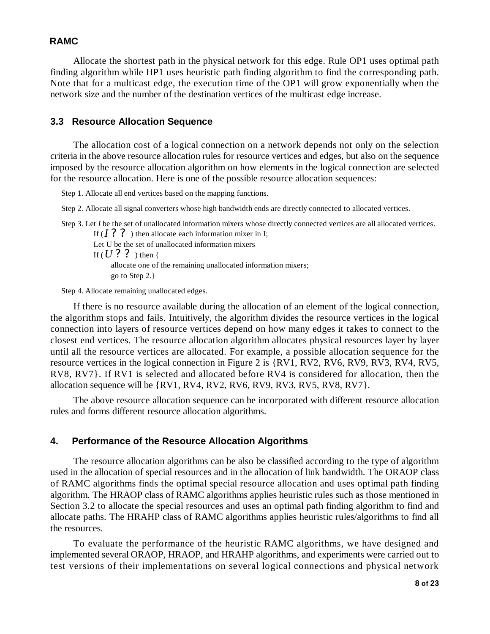Allocate the shortest path in the physical network for this edge. Rule OP1 uses optimal path finding algorithm while HP1 uses heuristic path finding algorithm to find the corresponding path. Note that for a multicast edge, the execution time of the OP1 will grow exponentially when the network size and the number of the destination vertices of the multicast edge increase.

#### **3.3 Resource Allocation Sequence**

The allocation cost of a logical connection on a network depends not only on the selection criteria in the above resource allocation rules for resource vertices and edges, but also on the sequence imposed by the resource allocation algorithm on how elements in the logical connection are selected for the resource allocation. Here is one of the possible resource allocation sequences:

Step 1. Allocate all end vertices based on the mapping functions.

Step 2. Allocate all signal converters whose high bandwidth ends are directly connected to allocated vertices.

Step 3. Let *I* be the set of unallocated information mixers whose directly connected vertices are all allocated vertices. If  $(I ? ?$ ) then allocate each information mixer in I;

Let U be the set of unallocated information mixers If  $(U ? ?$  ) then { allocate one of the remaining unallocated information mixers; go to Step 2.}

Step 4. Allocate remaining unallocated edges.

If there is no resource available during the allocation of an element of the logical connection, the algorithm stops and fails. Intuitively, the algorithm divides the resource vertices in the logical connection into layers of resource vertices depend on how many edges it takes to connect to the closest end vertices. The resource allocation algorithm allocates physical resources layer by layer until all the resource vertices are allocated. For example, a possible allocation sequence for the resource vertices in the logical connection in Figure 2 is {RV1, RV2, RV6, RV9, RV3, RV4, RV5, RV8, RV7}. If RV1 is selected and allocated before RV4 is considered for allocation, then the allocation sequence will be {RV1, RV4, RV2, RV6, RV9, RV3, RV5, RV8, RV7}.

The above resource allocation sequence can be incorporated with different resource allocation rules and forms different resource allocation algorithms.

#### **4. Performance of the Resource Allocation Algorithms**

The resource allocation algorithms can be also be classified according to the type of algorithm used in the allocation of special resources and in the allocation of link bandwidth. The ORAOP class of RAMC algorithms finds the optimal special resource allocation and uses optimal path finding algorithm. The HRAOP class of RAMC algorithms applies heuristic rules such as those mentioned in Section 3.2 to allocate the special resources and uses an optimal path finding algorithm to find and allocate paths. The HRAHP class of RAMC algorithms applies heuristic rules/algorithms to find all the resources.

To evaluate the performance of the heuristic RAMC algorithms, we have designed and implemented several ORAOP, HRAOP, and HRAHP algorithms, and experiments were carried out to test versions of their implementations on several logical connections and physical network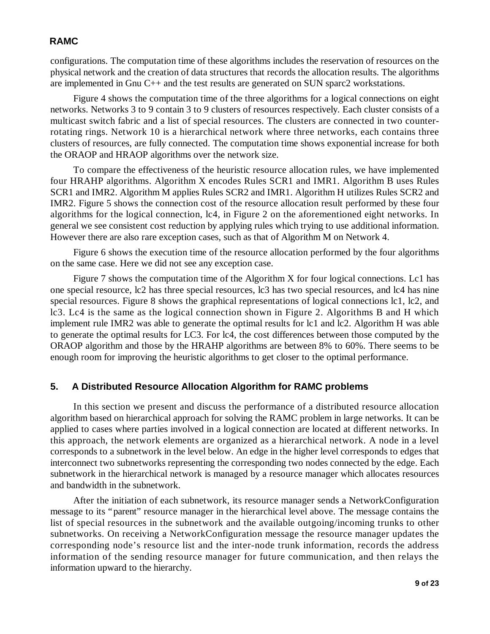configurations. The computation time of these algorithms includes the reservation of resources on the physical network and the creation of data structures that records the allocation results. The algorithms are implemented in Gnu C++ and the test results are generated on SUN sparc2 workstations.

Figure 4 shows the computation time of the three algorithms for a logical connections on eight networks. Networks 3 to 9 contain 3 to 9 clusters of resources respectively. Each cluster consists of a multicast switch fabric and a list of special resources. The clusters are connected in two counterrotating rings. Network 10 is a hierarchical network where three networks, each contains three clusters of resources, are fully connected. The computation time shows exponential increase for both the ORAOP and HRAOP algorithms over the network size.

To compare the effectiveness of the heuristic resource allocation rules, we have implemented four HRAHP algorithms. Algorithm X encodes Rules SCR1 and IMR1. Algorithm B uses Rules SCR1 and IMR2. Algorithm M applies Rules SCR2 and IMR1. Algorithm H utilizes Rules SCR2 and IMR2. Figure 5 shows the connection cost of the resource allocation result performed by these four algorithms for the logical connection, lc4, in Figure 2 on the aforementioned eight networks. In general we see consistent cost reduction by applying rules which trying to use additional information. However there are also rare exception cases, such as that of Algorithm M on Network 4.

Figure 6 shows the execution time of the resource allocation performed by the four algorithms on the same case. Here we did not see any exception case.

Figure 7 shows the computation time of the Algorithm X for four logical connections. Lc1 has one special resource, lc2 has three special resources, lc3 has two special resources, and lc4 has nine special resources. Figure 8 shows the graphical representations of logical connections lc1, lc2, and lc3. Lc4 is the same as the logical connection shown in Figure 2. Algorithms B and H which implement rule IMR2 was able to generate the optimal results for lc1 and lc2. Algorithm H was able to generate the optimal results for LC3. For lc4, the cost differences between those computed by the ORAOP algorithm and those by the HRAHP algorithms are between 8% to 60%. There seems to be enough room for improving the heuristic algorithms to get closer to the optimal performance.

# **5. A Distributed Resource Allocation Algorithm for RAMC problems**

In this section we present and discuss the performance of a distributed resource allocation algorithm based on hierarchical approach for solving the RAMC problem in large networks. It can be applied to cases where parties involved in a logical connection are located at different networks. In this approach, the network elements are organized as a hierarchical network. A node in a level corresponds to a subnetwork in the level below. An edge in the higher level corresponds to edges that interconnect two subnetworks representing the corresponding two nodes connected by the edge. Each subnetwork in the hierarchical network is managed by a resource manager which allocates resources and bandwidth in the subnetwork.

After the initiation of each subnetwork, its resource manager sends a NetworkConfiguration message to its "parent" resource manager in the hierarchical level above. The message contains the list of special resources in the subnetwork and the available outgoing/incoming trunks to other subnetworks. On receiving a NetworkConfiguration message the resource manager updates the corresponding node's resource list and the inter-node trunk information, records the address information of the sending resource manager for future communication, and then relays the information upward to the hierarchy.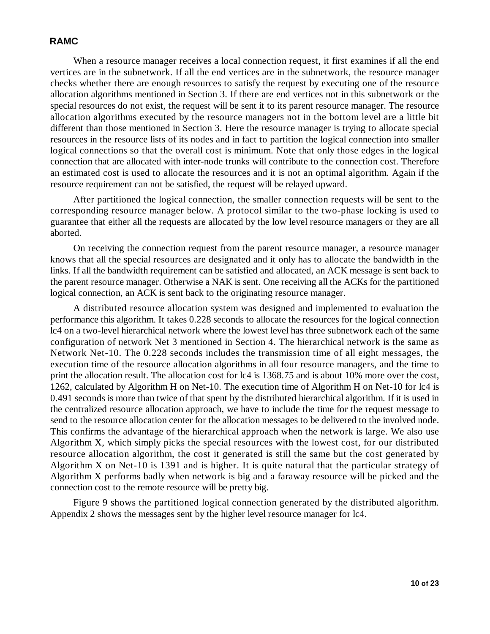When a resource manager receives a local connection request, it first examines if all the end vertices are in the subnetwork. If all the end vertices are in the subnetwork, the resource manager checks whether there are enough resources to satisfy the request by executing one of the resource allocation algorithms mentioned in Section 3. If there are end vertices not in this subnetwork or the special resources do not exist, the request will be sent it to its parent resource manager. The resource allocation algorithms executed by the resource managers not in the bottom level are a little bit different than those mentioned in Section 3. Here the resource manager is trying to allocate special resources in the resource lists of its nodes and in fact to partition the logical connection into smaller logical connections so that the overall cost is minimum. Note that only those edges in the logical connection that are allocated with inter-node trunks will contribute to the connection cost. Therefore an estimated cost is used to allocate the resources and it is not an optimal algorithm. Again if the resource requirement can not be satisfied, the request will be relayed upward.

After partitioned the logical connection, the smaller connection requests will be sent to the corresponding resource manager below. A protocol similar to the two-phase locking is used to guarantee that either all the requests are allocated by the low level resource managers or they are all aborted.

On receiving the connection request from the parent resource manager, a resource manager knows that all the special resources are designated and it only has to allocate the bandwidth in the links. If all the bandwidth requirement can be satisfied and allocated, an ACK message is sent back to the parent resource manager. Otherwise a NAK is sent. One receiving all the ACKs for the partitioned logical connection, an ACK is sent back to the originating resource manager.

A distributed resource allocation system was designed and implemented to evaluation the performance this algorithm. It takes 0.228 seconds to allocate the resources for the logical connection lc4 on a two-level hierarchical network where the lowest level has three subnetwork each of the same configuration of network Net 3 mentioned in Section 4. The hierarchical network is the same as Network Net-10. The 0.228 seconds includes the transmission time of all eight messages, the execution time of the resource allocation algorithms in all four resource managers, and the time to print the allocation result. The allocation cost for lc4 is 1368.75 and is about 10% more over the cost, 1262, calculated by Algorithm H on Net-10. The execution time of Algorithm H on Net-10 for lc4 is 0.491 seconds is more than twice of that spent by the distributed hierarchical algorithm. If it is used in the centralized resource allocation approach, we have to include the time for the request message to send to the resource allocation center for the allocation messages to be delivered to the involved node. This confirms the advantage of the hierarchical approach when the network is large. We also use Algorithm X, which simply picks the special resources with the lowest cost, for our distributed resource allocation algorithm, the cost it generated is still the same but the cost generated by Algorithm X on Net-10 is 1391 and is higher. It is quite natural that the particular strategy of Algorithm X performs badly when network is big and a faraway resource will be picked and the connection cost to the remote resource will be pretty big.

Figure 9 shows the partitioned logical connection generated by the distributed algorithm. Appendix 2 shows the messages sent by the higher level resource manager for lc4.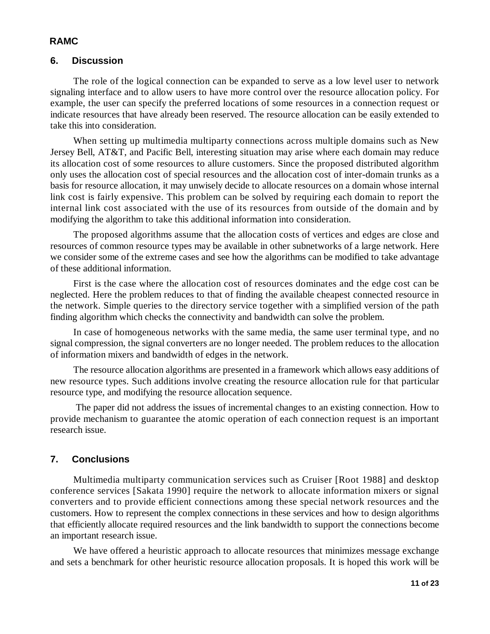# **6. Discussion**

The role of the logical connection can be expanded to serve as a low level user to network signaling interface and to allow users to have more control over the resource allocation policy. For example, the user can specify the preferred locations of some resources in a connection request or indicate resources that have already been reserved. The resource allocation can be easily extended to take this into consideration.

When setting up multimedia multiparty connections across multiple domains such as New Jersey Bell, AT&T, and Pacific Bell, interesting situation may arise where each domain may reduce its allocation cost of some resources to allure customers. Since the proposed distributed algorithm only uses the allocation cost of special resources and the allocation cost of inter-domain trunks as a basis for resource allocation, it may unwisely decide to allocate resources on a domain whose internal link cost is fairly expensive. This problem can be solved by requiring each domain to report the internal link cost associated with the use of its resources from outside of the domain and by modifying the algorithm to take this additional information into consideration.

The proposed algorithms assume that the allocation costs of vertices and edges are close and resources of common resource types may be available in other subnetworks of a large network. Here we consider some of the extreme cases and see how the algorithms can be modified to take advantage of these additional information.

First is the case where the allocation cost of resources dominates and the edge cost can be neglected. Here the problem reduces to that of finding the available cheapest connected resource in the network. Simple queries to the directory service together with a simplified version of the path finding algorithm which checks the connectivity and bandwidth can solve the problem.

In case of homogeneous networks with the same media, the same user terminal type, and no signal compression, the signal converters are no longer needed. The problem reduces to the allocation of information mixers and bandwidth of edges in the network.

The resource allocation algorithms are presented in a framework which allows easy additions of new resource types. Such additions involve creating the resource allocation rule for that particular resource type, and modifying the resource allocation sequence.

 The paper did not address the issues of incremental changes to an existing connection. How to provide mechanism to guarantee the atomic operation of each connection request is an important research issue.

# **7. Conclusions**

Multimedia multiparty communication services such as Cruiser [Root 1988] and desktop conference services [Sakata 1990] require the network to allocate information mixers or signal converters and to provide efficient connections among these special network resources and the customers. How to represent the complex connections in these services and how to design algorithms that efficiently allocate required resources and the link bandwidth to support the connections become an important research issue.

We have offered a heuristic approach to allocate resources that minimizes message exchange and sets a benchmark for other heuristic resource allocation proposals. It is hoped this work will be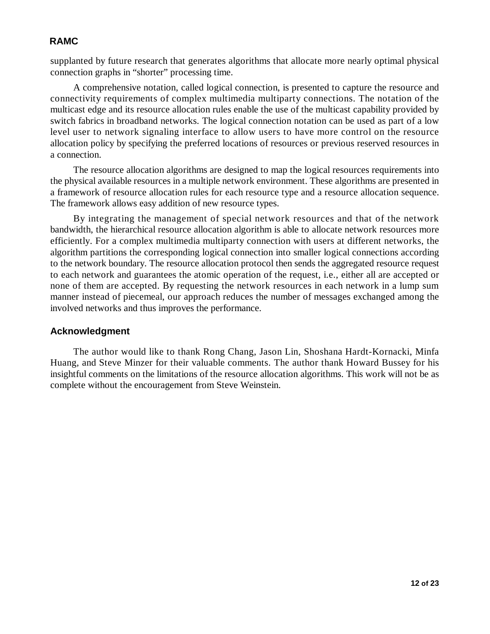supplanted by future research that generates algorithms that allocate more nearly optimal physical connection graphs in "shorter" processing time.

A comprehensive notation, called logical connection, is presented to capture the resource and connectivity requirements of complex multimedia multiparty connections. The notation of the multicast edge and its resource allocation rules enable the use of the multicast capability provided by switch fabrics in broadband networks. The logical connection notation can be used as part of a low level user to network signaling interface to allow users to have more control on the resource allocation policy by specifying the preferred locations of resources or previous reserved resources in a connection.

The resource allocation algorithms are designed to map the logical resources requirements into the physical available resources in a multiple network environment. These algorithms are presented in a framework of resource allocation rules for each resource type and a resource allocation sequence. The framework allows easy addition of new resource types.

By integrating the management of special network resources and that of the network bandwidth, the hierarchical resource allocation algorithm is able to allocate network resources more efficiently. For a complex multimedia multiparty connection with users at different networks, the algorithm partitions the corresponding logical connection into smaller logical connections according to the network boundary. The resource allocation protocol then sends the aggregated resource request to each network and guarantees the atomic operation of the request, i.e., either all are accepted or none of them are accepted. By requesting the network resources in each network in a lump sum manner instead of piecemeal, our approach reduces the number of messages exchanged among the involved networks and thus improves the performance.

#### **Acknowledgment**

The author would like to thank Rong Chang, Jason Lin, Shoshana Hardt-Kornacki, Minfa Huang, and Steve Minzer for their valuable comments. The author thank Howard Bussey for his insightful comments on the limitations of the resource allocation algorithms. This work will not be as complete without the encouragement from Steve Weinstein.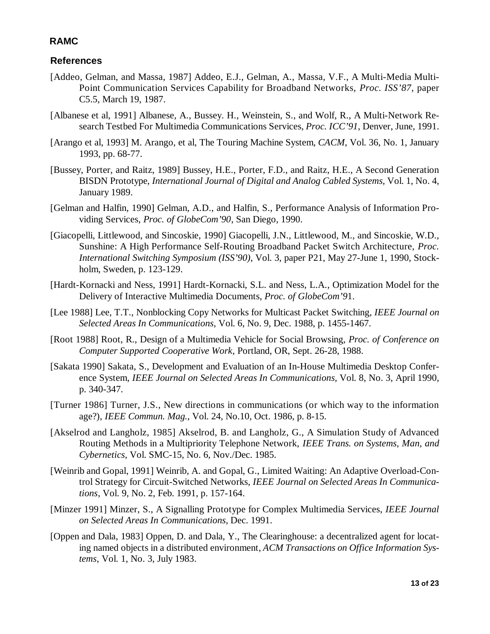# **References**

- [Addeo, Gelman, and Massa, 1987] Addeo, E.J., Gelman, A., Massa, V.F., A Multi-Media Multi-Point Communication Services Capability for Broadband Networks, *Proc. ISS'87*, paper C5.5, March 19, 1987.
- [Albanese et al, 1991] Albanese, A., Bussey. H., Weinstein, S., and Wolf, R., A Multi-Network Research Testbed For Multimedia Communications Services, *Proc. ICC'91*, Denver, June, 1991.
- [Arango et al, 1993] M. Arango, et al, The Touring Machine System, *CACM*, Vol. 36, No. 1, January 1993, pp. 68-77.
- [Bussey, Porter, and Raitz, 1989] Bussey, H.E., Porter, F.D., and Raitz, H.E., A Second Generation BISDN Prototype, *International Journal of Digital and Analog Cabled Systems,* Vol. 1, No. 4, January 1989.
- [Gelman and Halfin, 1990] Gelman, A.D., and Halfin, S., Performance Analysis of Information Providing Services, *Proc. of GlobeCom'90*, San Diego, 1990.
- [Giacopelli, Littlewood, and Sincoskie, 1990] Giacopelli, J.N., Littlewood, M., and Sincoskie, W.D., Sunshine: A High Performance Self-Routing Broadband Packet Switch Architecture, *Proc. International Switching Symposium (ISS'90),* Vol. 3, paper P21, May 27-June 1, 1990, Stockholm, Sweden, p. 123-129.
- [Hardt-Kornacki and Ness, 1991] Hardt-Kornacki, S.L. and Ness, L.A., Optimization Model for the Delivery of Interactive Multimedia Documents, *Proc. of GlobeCom'9*1.
- [Lee 1988] Lee, T.T., Nonblocking Copy Networks for Multicast Packet Switching, *IEEE Journal on Selected Areas In Communications,* Vol. 6, No. 9, Dec. 1988, p. 1455-1467.
- [Root 1988] Root, R., Design of a Multimedia Vehicle for Social Browsing, *Proc. of Conference on Computer Supported Cooperative Work*, Portland, OR, Sept. 26-28, 1988.
- [Sakata 1990] Sakata, S., Development and Evaluation of an In-House Multimedia Desktop Conference System, *IEEE Journal on Selected Areas In Communications,* Vol. 8, No. 3, April 1990, p. 340-347.
- [Turner 1986] Turner, J.S., New directions in communications (or which way to the information age?), *IEEE Commun. Mag.*, Vol. 24, No.10, Oct. 1986, p. 8-15.
- [Akselrod and Langholz, 1985] Akselrod, B. and Langholz, G., A Simulation Study of Advanced Routing Methods in a Multipriority Telephone Network, *IEEE Trans. on Systems, Man, and Cybernetics*, Vol. SMC-15, No. 6, Nov./Dec. 1985.
- [Weinrib and Gopal, 1991] Weinrib, A. and Gopal, G., Limited Waiting: An Adaptive Overload-Control Strategy for Circuit-Switched Networks, *IEEE Journal on Selected Areas In Communications*, Vol. 9, No. 2, Feb. 1991, p. 157-164.
- [Minzer 1991] Minzer, S., A Signalling Prototype for Complex Multimedia Services, *IEEE Journal on Selected Areas In Communications,* Dec. 1991.
- [Oppen and Dala, 1983] Oppen, D. and Dala, Y., The Clearinghouse: a decentralized agent for locating named objects in a distributed environment, *ACM Transactions on Office Information Systems*, Vol. 1, No. 3, July 1983.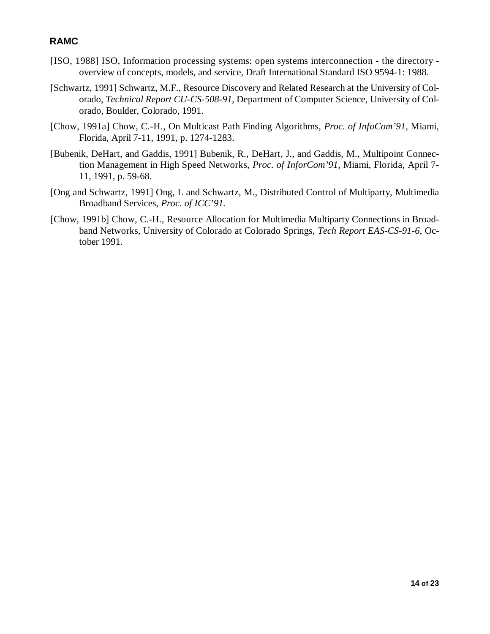- [ISO, 1988] ISO, Information processing systems: open systems interconnection the directory overview of concepts, models, and service, Draft International Standard ISO 9594-1: 1988.
- [Schwartz, 1991] Schwartz, M.F., Resource Discovery and Related Research at the University of Colorado, *Technical Report CU-CS-508-91,* Department of Computer Science, University of Colorado, Boulder, Colorado, 1991.
- [Chow, 1991a] Chow, C.-H., On Multicast Path Finding Algorithms, *Proc. of InfoCom'91,* Miami, Florida, April 7-11, 1991, p. 1274-1283.
- [Bubenik, DeHart, and Gaddis, 1991] Bubenik, R., DeHart, J., and Gaddis, M., Multipoint Connection Management in High Speed Networks, *Proc. of InforCom'91,* Miami, Florida, April 7- 11, 1991, p. 59-68.
- [Ong and Schwartz, 1991] Ong, L and Schwartz, M., Distributed Control of Multiparty, Multimedia Broadband Services, *Proc. of ICC'91*.
- [Chow, 1991b] Chow, C.-H., Resource Allocation for Multimedia Multiparty Connections in Broadband Networks, University of Colorado at Colorado Springs, *Tech Report EAS-CS-91-6*, October 1991.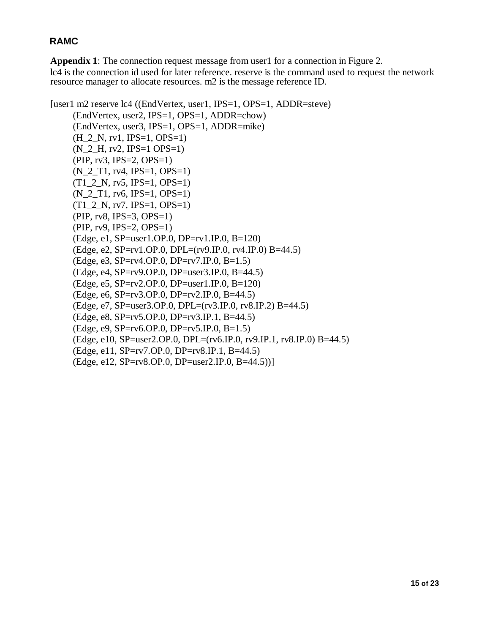**Appendix 1**: The connection request message from user1 for a connection in Figure 2. lc4 is the connection id used for later reference. reserve is the command used to request the network resource manager to allocate resources. m2 is the message reference ID.

```
[user1 m2 reserve lc4 ((EndVertex, user1, IPS=1, OPS=1, ADDR=steve)
     (EndVertex, user2, IPS=1, OPS=1, ADDR=chow)
     (EndVertex, user3, IPS=1, OPS=1, ADDR=mike)
     (H_2_N, rv1, IPS=1, OPS=1)(N_2_H, rv2, IPS=1 OPS=1)
     (PIP, rv3, IPS=2, OPS=1)
     (N_2_T1, rv4, IPS=1, OPS=1)
     (T1\ 2\ N, rv5, IPS=1, OPS=1)(N_2_T1, rv6, IPS=1, OPS=1)
     (T1_2_N, rv7, IPS=1, OPS=1)(PIP, rv8, IPS=3, OPS=1)
     (PIP, rv9, IPS=2, OPS=1)
     (Edge, e1, SP=user1.OP.0, DP=rv1.IP.0, B=120)
     (Edge, e2, SP=rv1.OP.0, DPL=(rv9.IP.0, rv4.IP.0) B=44.5)
     (Edge, e3, SP=rv4.OP.0, DP=rv7.IP.0, B=1.5)
     (Edge, e4, SP=rv9.OP.0, DP=user3.IP.0, B=44.5)
     (Edge, e5, SP=rv2.OP.0, DP=user1.IP.0, B=120)
     (Edge, e6, SP=rv3.OP.0, DP=rv2.IP.0, B=44.5)
     (Edge, e7, SP=user3.OP.0, DPL=(rv3.IP.0, rv8.IP.2) B=44.5)
     (Edge, e8, SP=rv5.OP.0, DP=rv3.IP.1, B=44.5)
     (Edge, e9, SP=rv6.OP.0, DP=rv5.IP.0, B=1.5)
     (Edge, e10, SP=user2.OP.0, DPL=(rv6.IP.0, rv9.IP.1, rv8.IP.0) B=44.5)
     (Edge, e11, SP=rv7.OP.0, DP=rv8.IP.1, B=44.5)
     (Edge, e12, SP=rv8.OP.0, DP=user2.IP.0, B=44.5))]
```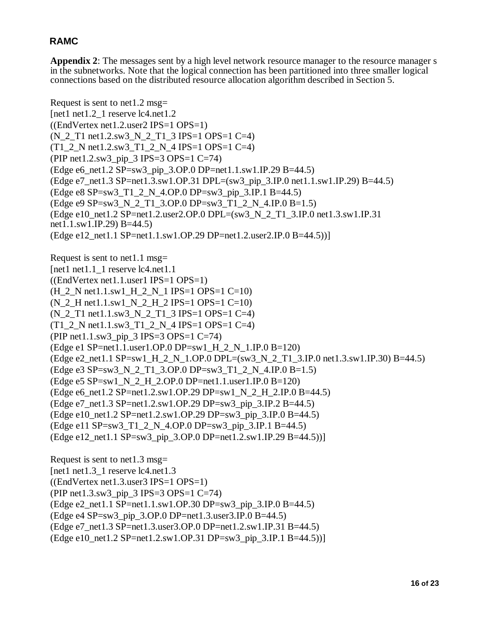**Appendix 2**: The messages sent by a high level network resource manager to the resource manager s in the subnetworks. Note that the logical connection has been partitioned into three smaller logical connections based on the distributed resource allocation algorithm described in Section 5.

Request is sent to net1.2 msg= [net1 net1.2\_1 reserve lc4.net1.2  $((EndVertex net1.2.user2 IPS=1 OPS=1))$ (N\_2\_T1 net1.2.sw3\_N\_2\_T1\_3 IPS=1 OPS=1 C=4)  $(T1_2$  N net1.2.sw3\_T1\_2\_N\_4 IPS=1 OPS=1 C=4) (PIP net1.2.sw3\_pip\_3 IPS=3 OPS=1 C=74) (Edge e6\_net1.2 SP=sw3\_pip\_3.OP.0 DP=net1.1.sw1.IP.29 B=44.5) (Edge e7\_net1.3 SP=net1.3.sw1.OP.31 DPL=(sw3\_pip\_3.IP.0 net1.1.sw1.IP.29) B=44.5) (Edge e8 SP=sw3\_T1\_2\_N\_4.OP.0 DP=sw3\_pip\_3.IP.1 B=44.5) (Edge e9 SP=sw3\_N\_2\_T1\_3.OP.0 DP=sw3\_T1\_2\_N\_4.IP.0 B=1.5) (Edge e10\_net1.2 SP=net1.2.user2.OP.0 DPL= $(sw3_N_2N_2_T1_3.IP.0$  net1.3.sw1.IP.31 net1.1.sw1.IP.29) B=44.5) (Edge e12\_net1.1 SP=net1.1.sw1.OP.29 DP=net1.2.user2.IP.0 B=44.5))] Request is sent to net1.1 msg= [net1 net1.1  $\overline{1}$  reserve lc4.net1.1  $((EndVertex net1.1. user1 IPS=1 OPS=1))$  $(H_2$  N net1.1.sw1  $H_2$  N  $_1$  IPS=1 OPS=1 C=10)  $(N_2_H \text{ net}1.1 \text{ s}^{-1} N_2_H \text{ m}^{-1} L^2 \text{ IPS} = 1 \text{ OPS} = 1 \text{ C} = 10)$ (N\_2\_T1 net1.1.sw3\_N\_2\_T1\_3 IPS=1 OPS=1 C=4) (T1\_2\_N net1.1.sw3\_T1\_2\_N\_4 IPS=1 OPS=1 C=4) (PIP net1.1.sw3\_pip\_3 IPS=3 OPS=1 C=74) (Edge e1 SP=net1.1.user1.OP.0 DP=sw1\_H\_2\_N\_1.IP.0 B=120) (Edge e2\_net1.1 SP=sw1\_H\_2\_N\_1.OP.0 DPL=(sw3\_N\_2\_T1\_3.IP.0 net1.3.sw1.IP.30) B=44.5) (Edge e3 SP=sw3\_N\_2\_T1\_3.OP.0 DP=sw3\_T1\_2\_N\_4.IP.0 B=1.5) (Edge e5 SP=sw1\_N\_2\_H\_2.OP.0 DP=net1.1.user1.IP.0 B=120) (Edge e6\_net1.2 SP=net1.2.sw1.OP.29 DP=sw1\_N\_2\_H\_2.IP.0 B=44.5) (Edge e7\_net1.3 SP=net1.2.sw1.OP.29 DP=sw3\_pip\_3.IP.2 B=44.5) (Edge e10\_net1.2 SP=net1.2.sw1.OP.29 DP=sw3\_pip\_3.IP.0 B=44.5) (Edge e11 SP=sw3\_T1\_2\_N\_4.OP.0 DP=sw3\_pip\_3.IP.1 B=44.5) (Edge e12\_net1.1 SP=sw3\_pip\_3.OP.0 DP=net1.2.sw1.IP.29 B=44.5))] Request is sent to net1.3 msg=

[net1 net1.3\_1 reserve lc4.net1.3  $((EndVertex net1.3.user3 IPS=1 OPS=1))$ (PIP net1.3.sw3\_pip\_3 IPS=3 OPS=1 C=74) (Edge e2\_net1.1 SP=net1.1.sw1.OP.30 DP=sw3\_pip\_3.IP.0 B=44.5)  $(Edge e4 SP = sw3 pip 3.OP.0 DP = net1.3.user3.IP.0 B = 44.5)$ (Edge e7\_net1.3 SP=net1.3.user3.OP.0 DP=net1.2.sw1.IP.31 B=44.5)  $(Edge e10<sub>net1.2</sub> SP=net1.2 sw1.OP.31 DP=sw3<sub>pi</sub> 3.IP.1 B=44.5))$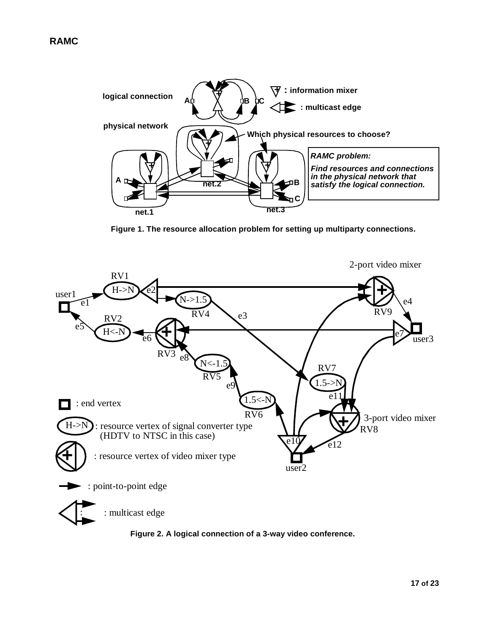

**Figure 1. The resource allocation problem for setting up multiparty connections.**



**Figure 2. A logical connection of a 3-way video conference.**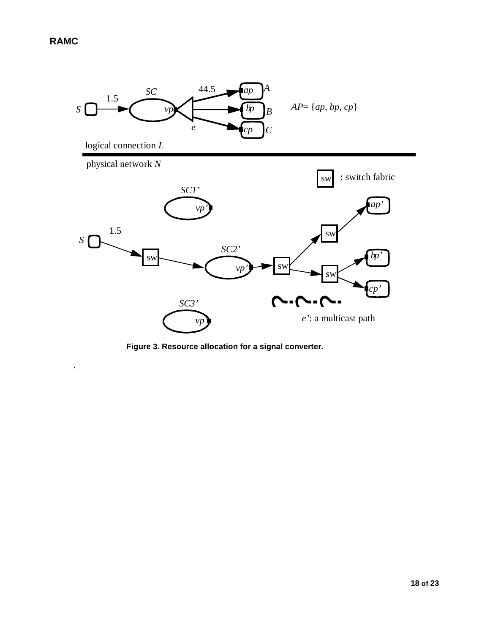.



**Figure 3. Resource allocation for a signal converter.**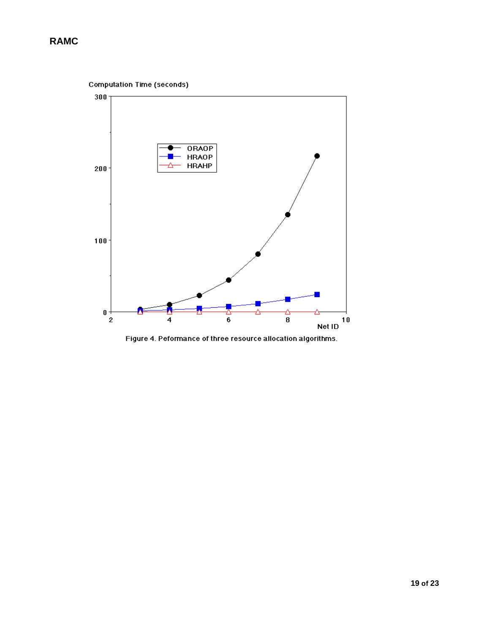

Figure 4. Peformance of three resource allocation algorithms.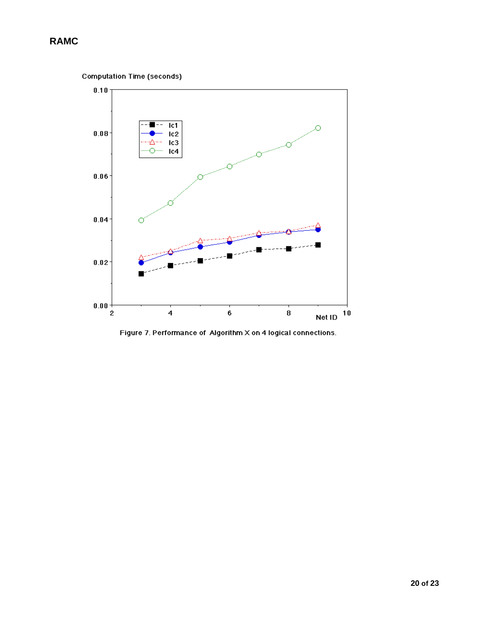```
Computation Time (seconds)
```


Figure 7. Performance of Algorithm X on 4 logical connections.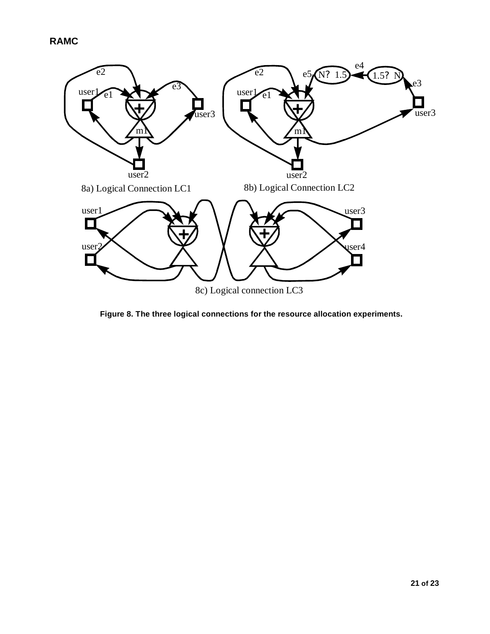

**Figure 8. The three logical connections for the resource allocation experiments.**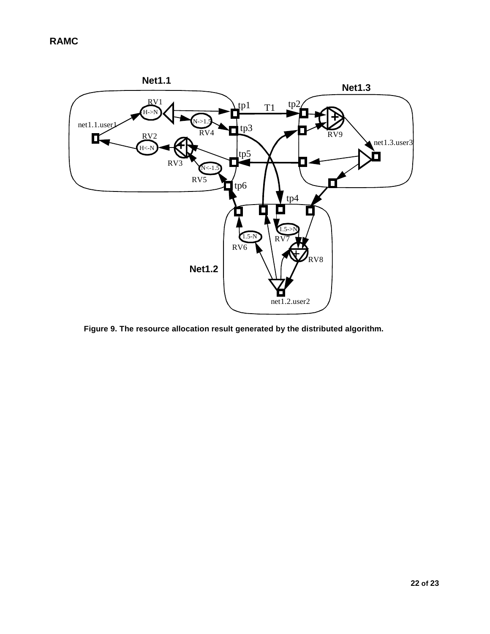

**Figure 9. The resource allocation result generated by the distributed algorithm.**